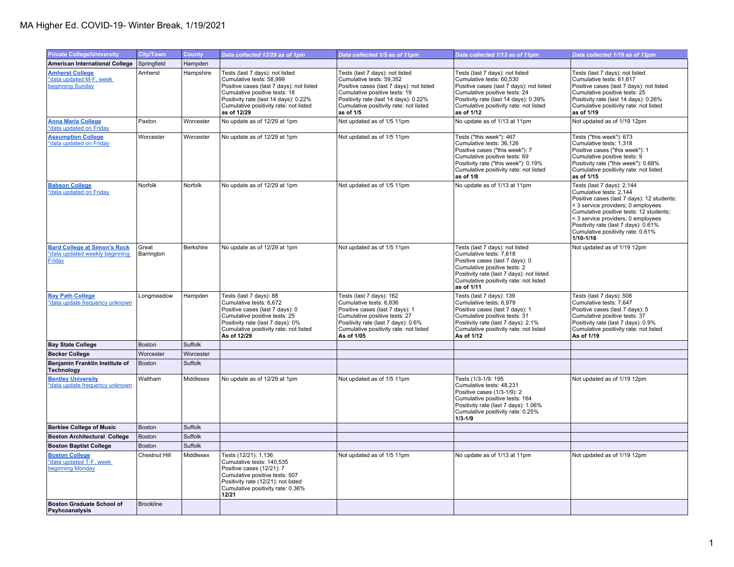## MA Higher Ed. COVID-19- Winter Break, 1/19/2021

| <b>Private College/University</b>                                               | <b>City/Town</b>    | <b>County</b> | Data collected 12/29 as of 1pm                                                                                                                                                                                                             | Data collected 1/5 as of 11pm                                                                                                                                                                                                            | Data collected 1/13 as of 11pm                                                                                                                                                                                                            | Data collected 1/19 as of 12pm                                                                                                                                                                                                                                                                                       |
|---------------------------------------------------------------------------------|---------------------|---------------|--------------------------------------------------------------------------------------------------------------------------------------------------------------------------------------------------------------------------------------------|------------------------------------------------------------------------------------------------------------------------------------------------------------------------------------------------------------------------------------------|-------------------------------------------------------------------------------------------------------------------------------------------------------------------------------------------------------------------------------------------|----------------------------------------------------------------------------------------------------------------------------------------------------------------------------------------------------------------------------------------------------------------------------------------------------------------------|
| <b>American International College</b>                                           | Springfield         | Hampden       |                                                                                                                                                                                                                                            |                                                                                                                                                                                                                                          |                                                                                                                                                                                                                                           |                                                                                                                                                                                                                                                                                                                      |
| <b>Amherst College</b><br>*data updated M-F, week<br>beginning Sunday           | Amherst             | Hampshire     | Tests (last 7 days): not listed<br>Cumulative tests: 58,999<br>Positive cases (last 7 days): not listed<br>Cumulative positive tests: 18<br>Positivity rate (last 14 days): 0.22%<br>Cumulative positivity rate: not listed<br>as of 12/29 | Tests (last 7 days): not listed<br>Cumulative tests: 59,352<br>Positive cases (last 7 days): not listed<br>Cumulative positive tests: 19<br>Positivity rate (last 14 days): 0.22%<br>Cumulative positivity rate: not listed<br>as of 1/5 | Tests (last 7 days): not listed<br>Cumulative tests: 60,530<br>Positive cases (last 7 days): not listed<br>Cumulative positive tests: 24<br>Positivity rate (last 14 days): 0.39%<br>Cumulative positivity rate: not listed<br>as of 1/12 | Tests (last 7 days): not listed<br>Cumulative tests: 61,617<br>Positive cases (last 7 days): not listed<br>Cumulative positive tests: 25<br>Positivity rate (last 14 days): 0.26%<br>Cumulative positivity rate: not listed<br>as of 1/19                                                                            |
| <b>Anna Maria College</b><br>*data updated on Friday                            | Paxton              | Worcester     | No update as of 12/29 at 1pm                                                                                                                                                                                                               | Not updated as of 1/5 11pm                                                                                                                                                                                                               | No update as of 1/13 at 11pm                                                                                                                                                                                                              | Not updated as of 1/19 12pm                                                                                                                                                                                                                                                                                          |
| <b>Assumption College</b><br>*data updated on Friday                            | Worcester           | Worcester     | No update as of 12/29 at 1pm                                                                                                                                                                                                               | Not updated as of 1/5 11pm                                                                                                                                                                                                               | Tests ("this week"): 467<br>Cumulative tests: 36,126<br>Positive cases ("this week"): 7<br>Cumulative positive tests: 69<br>Positivity rate ("this week"): 0.19%<br>Cumulative positivity rate: not listed<br>as of 1/8                   | Tests ("this week"): 673<br>Cumulative tests: 1,318<br>Positive cases ("this week"): 1<br>Cumulative positive tests: 9<br>Positivity rate ("this week"): 0.68%<br>Cumulative positivity rate: not listed<br>as of 1/15                                                                                               |
| <b>Babson College</b><br>*data updated on Friday                                | Norfolk             | Norfolk       | No update as of 12/29 at 1pm                                                                                                                                                                                                               | Not updated as of 1/5 11pm                                                                                                                                                                                                               | No update as of 1/13 at 11pm                                                                                                                                                                                                              | Tests (last 7 days): 2,144<br>Cumulative tests: 2,144<br>Positive cases (last 7 days): 12 students;<br>< 3 service providers; 0 employees<br>Cumulative positive tests: 12 students;<br>< 3 service providers; 0 employees<br>Positivity rate (last 7 days): 0.61%<br>Cumulative positivity rate: 0.61%<br>1/10-1/16 |
| <b>Bard College at Simon's Rock</b><br>*data updated weekly beginning<br>Friday | Great<br>Barrington | Berkshire     | No update as of 12/29 at 1pm                                                                                                                                                                                                               | Not updated as of 1/5 11pm                                                                                                                                                                                                               | Tests (last 7 days): not listed<br>Cumulative tests: 7.618<br>Positive cases (last 7 days): 0<br>Cumulative positive tests: 2<br>Positivity rate (last 7 days): not listed<br>Cumulative positivity rate: not listed<br>as of 1/11        | Not updated as of 1/19 12pm                                                                                                                                                                                                                                                                                          |
| <b>Bay Path College</b><br>*data update frequency unknown                       | Longmeadow          | Hampden       | Tests (last 7 days): 88<br>Cumulative tests: 6,672<br>Positive cases (last 7 days): 0<br>Cumulative positive tests: 25<br>Positivity rate (last 7 days): 0%<br>Cumulative positivity rate: not listed<br>As of 12/29                       | Tests (last 7 days): 162<br>Cumulative tests: 6,836<br>Positive cases (last 7 days): 1<br>Cumulative positive tests: 27<br>Positivity rate (last 7 days): 0.6%<br>Cumulative positivity rate: not listed<br>As of 1/05                   | Tests (last 7 days): 139<br>Cumulative tests: 6,979<br>Positive cases (last 7 days): 1<br>Cumulative positive tests: 31<br>Positivity rate (last 7 days): 2.1%<br>Cumulative positivity rate: not listed<br>As of 1/12                    | Tests (last 7 days): 508<br>Cumulative tests: 7,647<br>Positive cases (last 7 days): 5<br>Cumulative positive tests: 37<br>Positivity rate (last 7 days): 0.9%<br>Cumulative positivity rate: not listed<br>As of 1/19                                                                                               |
| <b>Bay State College</b>                                                        | Boston              | Suffolk       |                                                                                                                                                                                                                                            |                                                                                                                                                                                                                                          |                                                                                                                                                                                                                                           |                                                                                                                                                                                                                                                                                                                      |
| <b>Becker College</b>                                                           | Worcester           | Worcester     |                                                                                                                                                                                                                                            |                                                                                                                                                                                                                                          |                                                                                                                                                                                                                                           |                                                                                                                                                                                                                                                                                                                      |
| Benjamin Franklin Institute of<br><b>Technology</b>                             | <b>Boston</b>       | Suffolk       |                                                                                                                                                                                                                                            |                                                                                                                                                                                                                                          |                                                                                                                                                                                                                                           |                                                                                                                                                                                                                                                                                                                      |
| <b>Bentley University</b><br>*data update frequency unknown                     | Waltham             | Middlesex     | No update as of 12/29 at 1pm                                                                                                                                                                                                               | Not updated as of 1/5 11pm                                                                                                                                                                                                               | Tests (1/3-1/9: 195<br>Cumulative tests: 48,231<br>Positive cases (1/3-1/9): 2<br>Cumulative positive tests: 164<br>Positivity rate (last 7 days): 1.06%<br>Cumulative positivity rate: 0.25%<br>$1/3 - 1/9$                              | Not updated as of 1/19 12pm                                                                                                                                                                                                                                                                                          |
| <b>Berklee College of Music</b>                                                 | Boston              | Suffolk       |                                                                                                                                                                                                                                            |                                                                                                                                                                                                                                          |                                                                                                                                                                                                                                           |                                                                                                                                                                                                                                                                                                                      |
| <b>Boston Architectural College</b>                                             | Boston              | Suffolk       |                                                                                                                                                                                                                                            |                                                                                                                                                                                                                                          |                                                                                                                                                                                                                                           |                                                                                                                                                                                                                                                                                                                      |
| <b>Boston Baptist College</b>                                                   | Boston              | Suffolk       |                                                                                                                                                                                                                                            |                                                                                                                                                                                                                                          |                                                                                                                                                                                                                                           |                                                                                                                                                                                                                                                                                                                      |
| <b>Boston College</b><br>*data updated T-F, week<br>beginning Monday            | Chestnut Hill       | Middlesex     | Tests (12/21): 1,136<br>Cumulative tests: 140,535<br>Positive cases (12/21): 7<br>Cumulative positive tests: 507<br>Positivity rate (12/21): not listed<br>Cumulative positivity rate: 0.36%<br>12/21                                      | Not updated as of 1/5 11pm                                                                                                                                                                                                               | No update as of 1/13 at 11pm                                                                                                                                                                                                              | Not updated as of 1/19 12pm                                                                                                                                                                                                                                                                                          |
| <b>Boston Graduate School of</b><br>Psyhcoanalysis                              | <b>Brookline</b>    |               |                                                                                                                                                                                                                                            |                                                                                                                                                                                                                                          |                                                                                                                                                                                                                                           |                                                                                                                                                                                                                                                                                                                      |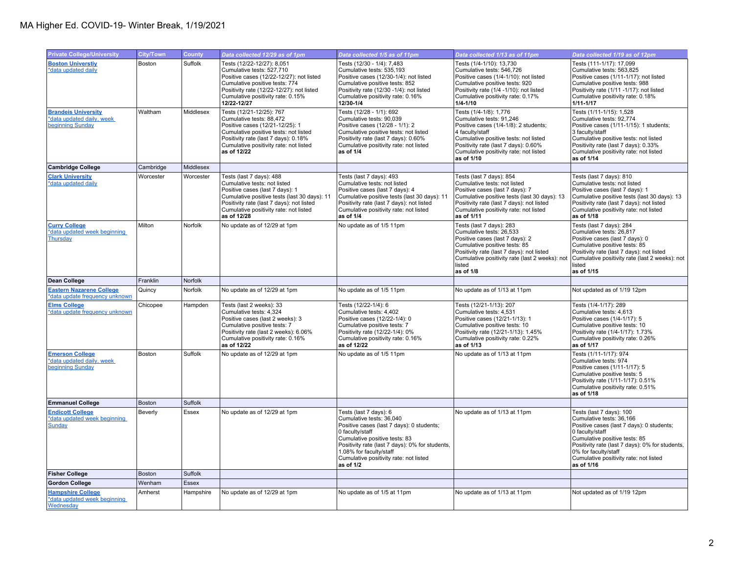| <b>Private College/University</b>                                                  | City/Town     | County       | Data collected 12/29 as of 1pm                                                                                                                                                                                                                    | Data collected 1/5 as of 11pm                                                                                                                                                                                                                                                            | Data collected 1/13 as of 11pm                                                                                                                                                                                                                          | Data collected 1/19 as of 12pm                                                                                                                                                                                                                                                           |
|------------------------------------------------------------------------------------|---------------|--------------|---------------------------------------------------------------------------------------------------------------------------------------------------------------------------------------------------------------------------------------------------|------------------------------------------------------------------------------------------------------------------------------------------------------------------------------------------------------------------------------------------------------------------------------------------|---------------------------------------------------------------------------------------------------------------------------------------------------------------------------------------------------------------------------------------------------------|------------------------------------------------------------------------------------------------------------------------------------------------------------------------------------------------------------------------------------------------------------------------------------------|
| <b>Boston Universtiv</b><br>*data updated daily                                    | Boston        | Suffolk      | Tests (12/22-12/27): 8,051<br>Cumulative tests: 527,710<br>Positive cases (12/22-12/27): not listed<br>Cumulative positive tests: 774<br>Positivity rate (12/22-12/27): not listed<br>Cumulative positivity rate: 0.15%<br>12/22-12/27            | Tests (12/30 - 1/4): 7,483<br>Cumulative tests: 535,193<br>Positive cases (12/30-1/4): not listed<br>Cumulative positive tests: 852<br>Positivity rate (12/30 -1/4): not listed<br>Cumulative positivity rate: 0.16%<br>12/30-1/4                                                        | Tests (1/4-1/10): 13,730<br>Cumulative tests: 546,726<br>Positive cases (1/4-1/10): not listed<br>Cumulative positive tests: 920<br>Positivity rate (1/4 -1/10): not listed<br>Cumulative positivity rate: 0.17%<br>$1/4 - 1/10$                        | Tests (111-1/17): 17,099<br>Cumulative tests: 563.825<br>Positive cases (1/11-1/17): not listed<br>Cumulative positive tests: 988<br>Positivity rate (1/11 -1/17): not listed<br>Cumulative positivity rate: 0.18%<br>$1/11 - 1/17$                                                      |
| <b>Brandeis University</b><br>*data updated daily, week<br><b>beginning Sunday</b> | Waltham       | Middlesex    | Tests (12/21-12/25): 767<br>Cumulative tests: 88,472<br>Positive cases (12/21-12/25): 1<br>Cumulative positive tests: not listed<br>Positivity rate (last 7 days): 0.18%<br>Cumulative positivity rate: not listed<br>as of 12/22                 | Tests (12/28 - 1/1): 692<br>Cumulative tests: 90,039<br>Positive cases (12/28 - 1/1): 2<br>Cumulative positive tests: not listed<br>Positivity rate (last 7 days): 0.60%<br>Cumulative positivity rate: not listed<br>as of 1/4                                                          | Tests (1/4-1/8): 1,776<br>Cumulative tests: 91,246<br>Positive cases (1/4-1/8): 2 students;<br>4 faculty/staff<br>Cumulative positive tests: not listed<br>Positivity rate (last 7 days): 0.60%<br>Cumulative positivity rate: not listed<br>as of 1/10 | Tests (1/11-1/15): 1,528<br>Cumulative tests: 92,774<br>Positive cases (1/11-1/15): 1 students;<br>3 faculty/staff<br>Cumulative positive tests: not listed<br>Positivity rate (last 7 days): 0.33%<br>Cumulative positivity rate: not listed<br>as of 1/14                              |
| <b>Cambridge College</b>                                                           | Cambridge     | Middlesex    |                                                                                                                                                                                                                                                   |                                                                                                                                                                                                                                                                                          |                                                                                                                                                                                                                                                         |                                                                                                                                                                                                                                                                                          |
| <b>Clark University</b><br>*data updated daily                                     | Worcester     | Worcester    | Tests (last 7 days): 488<br>Cumulative tests: not listed<br>Positive cases (last 7 days): 1<br>Cumulative positive tests (last 30 days): 11<br>Positivity rate (last 7 days): not listed<br>Cumulative positivity rate: not listed<br>as of 12/28 | Tests (last 7 days): 493<br>Cumulative tests: not listed<br>Positive cases (last 7 days): 4<br>Cumulative positive tests (last 30 days): 11<br>Positivity rate (last 7 days): not listed<br>Cumulative positivity rate: not listed<br>as of 1/4                                          | Tests (last 7 days): 854<br>Cumulative tests: not listed<br>Positive cases (last 7 days): 7<br>Cumulative positive tests (last 30 days): 13<br>Positivity rate (last 7 days): not listed<br>Cumulative positivity rate: not listed<br>as of 1/11        | Tests (last 7 days): 810<br>Cumulative tests: not listed<br>Positive cases (last 7 days): 1<br>Cumulative positive tests (last 30 days): 13<br>Positivity rate (last 7 days): not listed<br>Cumulative positivity rate: not listed<br>as of 1/18                                         |
| <b>Curry College</b><br>*data updated week beginning<br>Thursday                   | Milton        | Norfolk      | No update as of 12/29 at 1pm                                                                                                                                                                                                                      | No update as of 1/5 11pm                                                                                                                                                                                                                                                                 | Tests (last 7 days): 283<br>Cumulative tests: 26,533<br>Positive cases (last 7 days): 2<br>Cumulative positive tests: 85<br>Positivity rate (last 7 days): not listed<br>Cumulative positivity rate (last 2 weeks): not<br>listed<br>as of 1/8          | Tests (last 7 days): 284<br>Cumulative tests: 26,817<br>Positive cases (last 7 days): 0<br>Cumulative positive tests: 85<br>Positivity rate (last 7 days): not listed<br>Cumulative positivity rate (last 2 weeks): not<br>listed<br>as of 1/15                                          |
| Dean College                                                                       | Franklin      | Norfolk      |                                                                                                                                                                                                                                                   |                                                                                                                                                                                                                                                                                          |                                                                                                                                                                                                                                                         |                                                                                                                                                                                                                                                                                          |
| <b>Eastern Nazarene College</b><br>*data update frequency unknown                  | Quincy        | Norfolk      | No update as of 12/29 at 1pm                                                                                                                                                                                                                      | No update as of 1/5 11pm                                                                                                                                                                                                                                                                 | No update as of 1/13 at 11pm                                                                                                                                                                                                                            | Not updated as of 1/19 12pm                                                                                                                                                                                                                                                              |
| <b>Elms College</b><br>*data update frequency unknown                              | Chicopee      | Hampden      | Tests (last 2 weeks): 33<br>Cumulative tests: 4,324<br>Positive cases (last 2 weeks): 3<br>Cumulative positive tests: 7<br>Positivity rate (last 2 weeks): 6.06%<br>Cumulative positivity rate: 0.16%<br>as of 12/22                              | Tests (12/22-1/4): 6<br>Cumulative tests: 4,402<br>Positive cases (12/22-1/4): 0<br>Cumulative positive tests: 7<br>Positivity rate (12/22-1/4): 0%<br>Cumulative positivity rate: 0.16%<br>as of 12/22                                                                                  | Tests (12/21-1/13): 207<br>Cumulative tests: 4,531<br>Positive cases (12/21-1/13): 1<br>Cumulative positive tests: 10<br>Positivity rate (12/21-1/13): 1.45%<br>Cumulative positivity rate: 0.22%<br>as of 1/13                                         | Tests (1/4-1/17): 289<br>Cumulative tests: 4,613<br>Positive cases (1/4-1/17): 5<br>Cumulative positive tests: 10<br>Positivity rate (1/4-1/17): 1.73%<br>Cumulative positivity rate: 0.26%<br>as of 1/17                                                                                |
| <b>Emerson College</b><br>*data updated daily, week<br>beginning Sunday            | Boston        | Suffolk      | No update as of 12/29 at 1pm                                                                                                                                                                                                                      | No update as of 1/5 11pm                                                                                                                                                                                                                                                                 | No update as of 1/13 at 11pm                                                                                                                                                                                                                            | Tests (1/11-1/17): 974<br>Cumulative tests: 974<br>Positive cases (1/11-1/17): 5<br>Cumulative positive tests: 5<br>Positivity rate (1/11-1/17): 0.51%<br>Cumulative positivity rate: 0.51%<br>as of 1/18                                                                                |
| <b>Emmanuel College</b>                                                            | <b>Boston</b> | Suffolk      |                                                                                                                                                                                                                                                   |                                                                                                                                                                                                                                                                                          |                                                                                                                                                                                                                                                         |                                                                                                                                                                                                                                                                                          |
| <b>Endicott College</b><br>*data updated week beginning<br><b>Sunday</b>           | Beverly       | Essex        | No update as of 12/29 at 1pm                                                                                                                                                                                                                      | Tests (last 7 days): 6<br>Cumulative tests: 36,040<br>Positive cases (last 7 days): 0 students;<br>0 faculty/staff<br>Cumulative positive tests: 83<br>Positivity rate (last 7 days): 0% for students,<br>1.08% for faculty/staff<br>Cumulative positivity rate: not listed<br>as of 1/2 | No update as of 1/13 at 11pm                                                                                                                                                                                                                            | Tests (last 7 days): 100<br>Cumulative tests: 36,166<br>Positive cases (last 7 days): 0 students;<br>0 faculty/staff<br>Cumulative positive tests: 85<br>Positivity rate (last 7 days): 0% for students,<br>0% for faculty/staff<br>Cumulative positivity rate: not listed<br>as of 1/16 |
| <b>Fisher College</b>                                                              | <b>Boston</b> | Suffolk      |                                                                                                                                                                                                                                                   |                                                                                                                                                                                                                                                                                          |                                                                                                                                                                                                                                                         |                                                                                                                                                                                                                                                                                          |
| <b>Gordon College</b>                                                              | Wenham        | <b>Essex</b> |                                                                                                                                                                                                                                                   |                                                                                                                                                                                                                                                                                          |                                                                                                                                                                                                                                                         |                                                                                                                                                                                                                                                                                          |
| <b>Hampshire College</b><br>*data updated week beginning<br>Wednesday              | Amherst       | Hampshire    | No update as of 12/29 at 1pm                                                                                                                                                                                                                      | No update as of 1/5 at 11pm                                                                                                                                                                                                                                                              | No update as of 1/13 at 11pm                                                                                                                                                                                                                            | Not updated as of 1/19 12pm                                                                                                                                                                                                                                                              |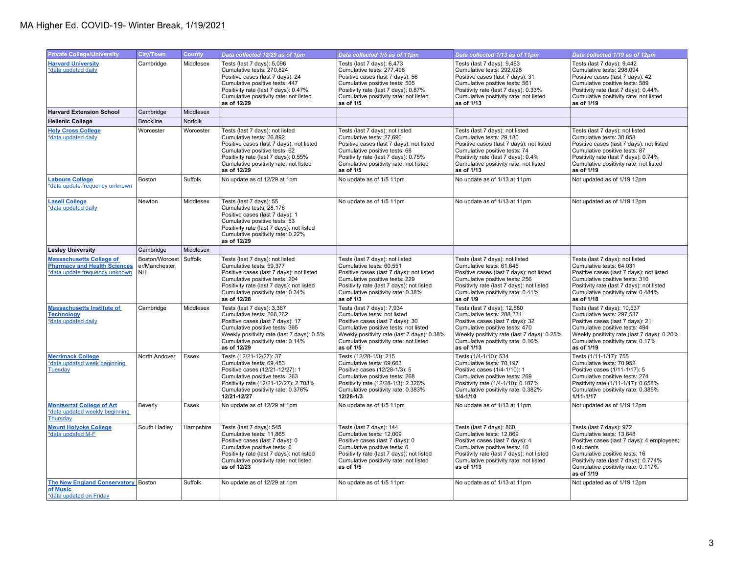| <b>Private College/University</b>                                                                        | <b>City/Town</b>                              | <b>County</b> | Data collected 12/29 as of 1pm                                                                                                                                                                                                             | Data collected 1/5 as of 11pm                                                                                                                                                                                                                 | Data collected 1/13 as of 11pm                                                                                                                                                                                                           | Data collected 1/19 as of 12pm                                                                                                                                                                                                                 |
|----------------------------------------------------------------------------------------------------------|-----------------------------------------------|---------------|--------------------------------------------------------------------------------------------------------------------------------------------------------------------------------------------------------------------------------------------|-----------------------------------------------------------------------------------------------------------------------------------------------------------------------------------------------------------------------------------------------|------------------------------------------------------------------------------------------------------------------------------------------------------------------------------------------------------------------------------------------|------------------------------------------------------------------------------------------------------------------------------------------------------------------------------------------------------------------------------------------------|
| <b>Harvard University</b><br>*data updated daily                                                         | Cambridge                                     | Middlesex     | Tests (last 7 days): 5,096<br>Cumulative tests: 270,824<br>Positive cases (last 7 days): 24<br>Cumulative positive tests: 447<br>Positivity rate (last 7 days): 0.47%<br>Cumulative positivity rate: not listed<br>as of 12/29             | Tests (last 7 days): 6,473<br>Cumulative tests: 277,496<br>Positive cases (last 7 days): 56<br>Cumulative positive tests: 505<br>Positivity rate (last 7 days): 0.87%<br>Cumulative positivity rate: not listed<br>as of 1/5                  | Tests (last 7 days): 9,463<br>Cumulative tests: 292,028<br>Positive cases (last 7 days): 31<br>Cumulative positive tests: 561<br>Positivity rate (last 7 days): 0.33%<br>Cumulative positivity rate: not listed<br>as of 1/13            | Tests (last 7 days): 9,442<br>Cumulative tests: 298,094<br>Positive cases (last 7 days): 42<br>Cumulative positive tests: 589<br>Positivity rate (last 7 days): 0.44%<br>Cumulative positivity rate: not listed<br>as of 1/19                  |
| <b>Harvard Extension School</b>                                                                          | Cambridge                                     | Middlesex     |                                                                                                                                                                                                                                            |                                                                                                                                                                                                                                               |                                                                                                                                                                                                                                          |                                                                                                                                                                                                                                                |
| <b>Hellenic College</b>                                                                                  | <b>Brookline</b>                              | Norfolk       |                                                                                                                                                                                                                                            |                                                                                                                                                                                                                                               |                                                                                                                                                                                                                                          |                                                                                                                                                                                                                                                |
| <b>Holy Cross College</b><br>*data updated daily                                                         | Worcester                                     | Worcester     | Tests (last 7 days): not listed<br>Cumulative tests: 26,892<br>Positive cases (last 7 days): not listed<br>Cumulative positive tests: 62<br>Positivity rate (last 7 days): 0.55%<br>Cumulative positivity rate: not listed<br>as of 12/29  | Tests (last 7 days): not listed<br>Cumulative tests: 27,690<br>Positive cases (last 7 days): not listed<br>Cumulative positive tests: 68<br>Positivity rate (last 7 days): 0.75%<br>Cumulative positivity rate: not listed<br>as of 1/5       | Tests (last 7 days): not listed<br>Cumulative tests: 29,180<br>Positive cases (last 7 days): not listed<br>Cumulative positive tests: 74<br>Positivity rate (last 7 days): 0.4%<br>Cumulative positivity rate: not listed<br>as of 1/13  | Tests (last 7 days): not listed<br>Cumulative tests: 30,858<br>Positive cases (last 7 days): not listed<br>Cumulative positive tests: 87<br>Positivity rate (last 7 days): 0.74%<br>Cumulative positivity rate: not listed<br>as of 1/19       |
| <b>Laboure College</b><br>*data update frequency unknown                                                 | Boston                                        | Suffolk       | No update as of 12/29 at 1pm                                                                                                                                                                                                               | No update as of 1/5 11pm                                                                                                                                                                                                                      | No update as of 1/13 at 11pm                                                                                                                                                                                                             | Not updated as of 1/19 12pm                                                                                                                                                                                                                    |
| <b>Lasell College</b><br>*data updated daily                                                             | Newton                                        | Middlesex     | Tests (last 7 days): 55<br>Cumulative tests: 28.176<br>Positive cases (last 7 days): 1<br>Cumulative positive tests: 53<br>Positivity rate (last 7 days): not listed<br>Cumulative positivity rate: 0.22%<br>as of 12/29                   | No update as of 1/5 11pm                                                                                                                                                                                                                      | No update as of 1/13 at 11pm                                                                                                                                                                                                             | Not updated as of 1/19 12pm                                                                                                                                                                                                                    |
| <b>Lesley University</b>                                                                                 | Cambridge                                     | Middlesex     |                                                                                                                                                                                                                                            |                                                                                                                                                                                                                                               |                                                                                                                                                                                                                                          |                                                                                                                                                                                                                                                |
| <b>Massachusetts College of</b><br><b>Pharmacy and Health Sciences</b><br>*data update frequency unknown | Boston/Worcest<br>er/Manchester,<br><b>NH</b> | Suffolk       | Tests (last 7 days): not listed<br>Cumulative tests: 59,377<br>Positive cases (last 7 days): not listed<br>Cumulative positive tests: 204<br>Positivity rate (last 7 days): not listed<br>Cumulative positivity rate: 0.34%<br>as of 12/28 | Tests (last 7 days): not listed<br>Cumulative tests: 60,551<br>Positive cases (last 7 days): not listed<br>Cumulative positive tests: 229<br>Positivity rate (last 7 days): not listed<br>Cumulative positivity rate: 0.38%<br>as of 1/3      | Tests (last 7 days): not listed<br>Cumulative tests: 61,645<br>Positive cases (last 7 days): not listed<br>Cumulative positive tests: 256<br>Positivity rate (last 7 days): not listed<br>Cumulative positivity rate: 0.41%<br>as of 1/9 | Tests (last 7 days): not listed<br>Cumulative tests: 64,031<br>Positive cases (last 7 days): not listed<br>Cumulative positive tests: 310<br>Positivity rate (last 7 days): not listed<br>Cumulative positivity rate: 0.484%<br>as of 1/18     |
| <b>Massachusetts Institute of</b><br><b>Technology</b><br>*data updated daily                            | Cambridge                                     | Middlesex     | Tests (last 7 days): 3,367<br>Cumulative tests: 266,262<br>Positive cases (last 7 days): 17<br>Cumulative positive tests: 365<br>Weekly positivity rate (last 7 days): 0.5%<br>Cumulative positivity rate: 0.14%<br>as of 12/29            | Tests (last 7 days): 7,934<br>Cumulative tests: not listed<br>Positive cases (last 7 days): 30<br>Cumulative positive tests: not listed<br>Weekly positivity rate (last 7 days): 0.38%<br>Cumulative positivity rate: not listed<br>as of 1/5 | Tests (last 7 days): 12,580<br>Cumulative tests: 288,234<br>Positive cases (last 7 days): 32<br>Cumulative positive tests: 470<br>Weekly positivity rate (last 7 days): 0.25%<br>Cumulative positivity rate: 0.16%<br>as of 1/13         | Tests (last 7 days): 10,537<br>Cumulative tests: 297,537<br>Positive cases (last 7 days): 21<br>Cumulative positive tests: 494<br>Weekly positivity rate (last 7 days): 0.20%<br>Cumulative positivity rate: 0.17%<br>as of 1/19               |
| <b>Merrimack College</b><br>*data updated week beginning<br><b>Tuesday</b>                               | North Andover                                 | Essex         | Tests (12/21-12/27): 37<br>Cumulative tests: 69,453<br>Positive cases (12/21-12/27): 1<br>Cumulative positive tests: 263<br>Positivity rate (12/21-12/27): 2.703%<br>Cumulative positivity rate: 0.376%<br>12/21-12/27                     | Tests (12/28-1/3): 215<br>Cumulative tests: 69,663<br>Positive cases (12/28-1/3): 5<br>Cumulative positive tests: 268<br>Positivity rate (12/28-1/3): 2.326%<br>Cumulative positivity rate: 0.383%<br>12/28-1/3                               | Tests (1/4-1/10): 534<br>Cumulative tests: 70,197<br>Positive cases (1/4-1/10): 1<br>Cumulative positive tests: 269<br>Positivity rate (1/4-1/10): 0.187%<br>Cumulative positivity rate: 0.382%<br>$1/4 - 1/10$                          | Tests (1/11-1/17): 755<br>Cumulative tests: 70,952<br>Positive cases (1/11-1/17): 5<br>Cumulative positive tests: 274<br>Positivity rate (1/11-1/17): 0.658%<br>Cumulative positivity rate: 0.385%<br>$1/11 - 1/17$                            |
| <b>Montserrat College of Art</b><br>*data updated weekly beginning<br><b>Thursday</b>                    | Beverly                                       | Essex         | No update as of 12/29 at 1pm                                                                                                                                                                                                               | No update as of 1/5 11pm                                                                                                                                                                                                                      | No update as of 1/13 at 11pm                                                                                                                                                                                                             | Not updated as of 1/19 12pm                                                                                                                                                                                                                    |
| <b>Mount Holyoke College</b><br>*data updated M-F                                                        | South Hadley                                  | Hampshire     | Tests (last 7 days): 545<br>Cumulative tests: 11,865<br>Positive cases (last 7 days): 0<br>Cumulative positive tests: 6<br>Positivity rate (last 7 days): not listed<br>Cumulative positivity rate: not listed<br>as of 12/23              | Tests (last 7 days): 144<br>Cumulative tests: 12,009<br>Positive cases (last 7 days): 0<br>Cumulative positive tests: 6<br>Positivity rate (last 7 days): not listed<br>Cumulative positivity rate: not listed<br>as of 1/5                   | Tests (last 7 days): 860<br>Cumulative tests: 12,869<br>Positive cases (last 7 days): 4<br>Cumulative positive tests: 10<br>Positivity rate (last 7 days): not listed<br>Cumulative positivity rate: not listed<br>as of 1/13            | Tests (last 7 days): 972<br>Cumulative tests: 13,648<br>Positive cases (last 7 days): 4 employees;<br>0 students<br>Cumulative positive tests: 16<br>Positivity rate (last 7 days): 0.774%<br>Cumulative positivity rate: 0.117%<br>as of 1/19 |
| <b>The New England Conservatory Boston</b><br>of Music<br>*data updated on Friday                        |                                               | Suffolk       | No update as of 12/29 at 1pm                                                                                                                                                                                                               | No update as of 1/5 11pm                                                                                                                                                                                                                      | No update as of 1/13 at 11pm                                                                                                                                                                                                             | Not updated as of 1/19 12pm                                                                                                                                                                                                                    |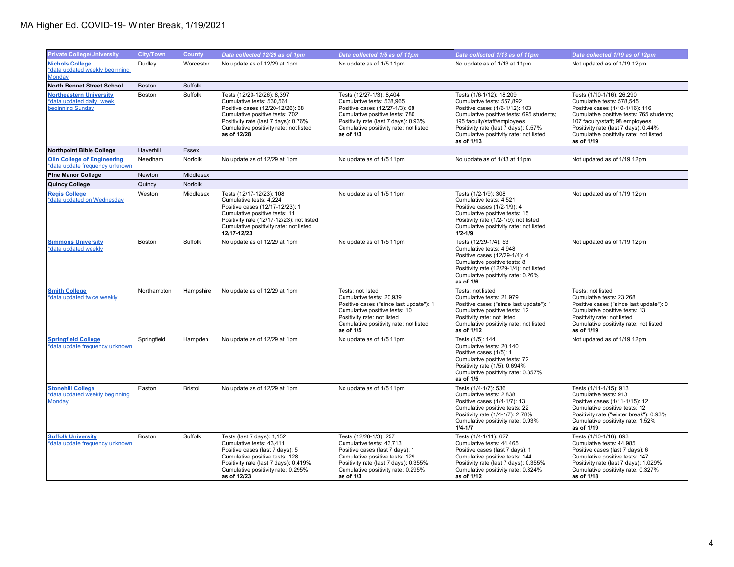## MA Higher Ed. COVID-19- Winter Break, 1/19/2021

| <b>Private College/University</b>                                               | <b>City/Town</b> | <b>County</b>  | Data collected 12/29 as of 1pm                                                                                                                                                                                                 | Data collected 1/5 as of 11pm                                                                                                                                                                                            | Data collected 1/13 as of 11pm                                                                                                                                                                                                                                     | Data collected 1/19 as of 12pm                                                                                                                                                                                                                                           |
|---------------------------------------------------------------------------------|------------------|----------------|--------------------------------------------------------------------------------------------------------------------------------------------------------------------------------------------------------------------------------|--------------------------------------------------------------------------------------------------------------------------------------------------------------------------------------------------------------------------|--------------------------------------------------------------------------------------------------------------------------------------------------------------------------------------------------------------------------------------------------------------------|--------------------------------------------------------------------------------------------------------------------------------------------------------------------------------------------------------------------------------------------------------------------------|
| <b>Nichols College</b><br>*data updated weekly beginning<br>Monday              | Dudlev           | Worcester      | No update as of 12/29 at 1pm                                                                                                                                                                                                   | No update as of 1/5 11pm                                                                                                                                                                                                 | No update as of 1/13 at 11pm                                                                                                                                                                                                                                       | Not updated as of 1/19 12pm                                                                                                                                                                                                                                              |
| <b>North Bennet Street School</b>                                               | <b>Boston</b>    | Suffolk        |                                                                                                                                                                                                                                |                                                                                                                                                                                                                          |                                                                                                                                                                                                                                                                    |                                                                                                                                                                                                                                                                          |
| <b>Northeastern University</b><br>*data updated daily, week<br>beginning Sunday | Boston           | Suffolk        | Tests (12/20-12/26): 8,397<br>Cumulative tests: 530.561<br>Positive cases (12/20-12/26): 68<br>Cumulative positive tests: 702<br>Positivity rate (last 7 days): 0.76%<br>Cumulative positivity rate: not listed<br>as of 12/28 | Tests (12/27-1/3): 8,404<br>Cumulative tests: 538.965<br>Positive cases (12/27-1/3): 68<br>Cumulative positive tests: 780<br>Positivity rate (last 7 days): 0.93%<br>Cumulative positivity rate: not listed<br>as of 1/3 | Tests (1/6-1/12): 18,209<br>Cumulative tests: 557.892<br>Positive cases (1/6-1/12): 103<br>Cumulative positive tests: 695 students;<br>195 faculty/staff/employees<br>Positivity rate (last 7 days): 0.57%<br>Cumulative positivity rate: not listed<br>as of 1/13 | Tests (1/10-1/16): 26,290<br>Cumulative tests: 578.545<br>Positive cases (1/10-1/16): 116<br>Cumulative positive tests: 765 students;<br>107 faculty/staff; 98 employees<br>Positivity rate (last 7 days): 0.44%<br>Cumulative positivity rate: not listed<br>as of 1/19 |
| <b>Northpoint Bible College</b>                                                 | Haverhill        | <b>Essex</b>   |                                                                                                                                                                                                                                |                                                                                                                                                                                                                          |                                                                                                                                                                                                                                                                    |                                                                                                                                                                                                                                                                          |
| <b>Olin College of Engineering</b><br>*data update frequency unknown            | Needham          | Norfolk        | No update as of 12/29 at 1pm                                                                                                                                                                                                   | No update as of 1/5 11pm                                                                                                                                                                                                 | No update as of 1/13 at 11pm                                                                                                                                                                                                                                       | Not updated as of 1/19 12pm                                                                                                                                                                                                                                              |
| <b>Pine Manor College</b>                                                       | Newton           | Middlesex      |                                                                                                                                                                                                                                |                                                                                                                                                                                                                          |                                                                                                                                                                                                                                                                    |                                                                                                                                                                                                                                                                          |
| <b>Quincy College</b>                                                           | Quincy           | Norfolk        |                                                                                                                                                                                                                                |                                                                                                                                                                                                                          |                                                                                                                                                                                                                                                                    |                                                                                                                                                                                                                                                                          |
| <b>Regis College</b><br>*data updated on Wednesday                              | Weston           | Middlesex      | Tests (12/17-12/23): 108<br>Cumulative tests: 4,224<br>Positive cases (12/17-12/23): 1<br>Cumulative positive tests: 11<br>Positivity rate (12/17-12/23): not listed<br>Cumulative positivity rate: not listed<br>12/17-12/23  | No update as of 1/5 11pm                                                                                                                                                                                                 | Tests (1/2-1/9): 308<br>Cumulative tests: 4,521<br>Positive cases (1/2-1/9): 4<br>Cumulative positive tests: 15<br>Positivity rate (1/2-1/9): not listed<br>Cumulative positivity rate: not listed<br>$1/2 - 1/9$                                                  | Not updated as of 1/19 12pm                                                                                                                                                                                                                                              |
| <b>Simmons University</b><br>*data updated weekly                               | <b>Boston</b>    | Suffolk        | No update as of 12/29 at 1pm                                                                                                                                                                                                   | No update as of 1/5 11pm                                                                                                                                                                                                 | Tests (12/29-1/4): 53<br>Cumulative tests: 4,948<br>Positive cases (12/29-1/4): 4<br>Cumulative positive tests: 8<br>Positivity rate (12/29-1/4): not listed<br>Cumulative positivity rate: 0.26%<br>as of $1/6$                                                   | Not updated as of 1/19 12pm                                                                                                                                                                                                                                              |
| <b>Smith College</b><br>*data updated twice weekly                              | Northampton      | Hampshire      | No update as of 12/29 at 1pm                                                                                                                                                                                                   | Tests: not listed<br>Cumulative tests: 20,939<br>Positive cases ("since last update"): 1<br>Cumulative positive tests: 10<br>Positivity rate: not listed<br>Cumulative positivity rate: not listed<br>as of 1/5          | Tests: not listed<br>Cumulative tests: 21,979<br>Positive cases ("since last update"): 1<br>Cumulative positive tests: 12<br>Positivity rate: not listed<br>Cumulative positivity rate: not listed<br>as of 1/12                                                   | Tests: not listed<br>Cumulative tests: 23,268<br>Positive cases ("since last update"): 0<br>Cumulative positive tests: 13<br>Positivity rate: not listed<br>Cumulative positivity rate: not listed<br>as of 1/19                                                         |
| <b>Springfield College</b><br>*data update frequency unknown                    | Springfield      | Hampden        | No update as of 12/29 at 1pm                                                                                                                                                                                                   | No update as of 1/5 11pm                                                                                                                                                                                                 | Tests (1/5): 144<br>Cumulative tests: 20.140<br>Positive cases (1/5): 1<br>Cumulative positive tests: 72<br>Positivity rate (1/5): 0.694%<br>Cumulative positivity rate: 0.357%<br>as of 1/5                                                                       | Not updated as of 1/19 12pm                                                                                                                                                                                                                                              |
| <b>Stonehill College</b><br>*data updated weekly beginning<br>Monday            | Easton           | <b>Bristol</b> | No update as of 12/29 at 1pm                                                                                                                                                                                                   | No update as of 1/5 11pm                                                                                                                                                                                                 | Tests (1/4-1/7): 536<br>Cumulative tests: 2.838<br>Positive cases (1/4-1/7): 13<br>Cumulative positive tests: 22<br>Positivity rate (1/4-1/7): 2.78%<br>Cumulative positivity rate: 0.93%<br>$1/4 - 1/7$                                                           | Tests (1/11-1/15): 913<br>Cumulative tests: 913<br>Positive cases (1/11-1/15): 12<br>Cumulative positive tests: 12<br>Positivity rate ("winter break"): 0.93%<br>Cumulative positivity rate: 1.52%<br>as of 1/19                                                         |
| <b>Suffolk University</b><br>*data update frequency unknown                     | Boston           | Suffolk        | Tests (last 7 days): 1,152<br>Cumulative tests: 43,411<br>Positive cases (last 7 days): 5<br>Cumulative positive tests: 128<br>Positivity rate (last 7 days): 0.419%<br>Cumulative positivity rate: 0.295%<br>as of 12/23      | Tests (12/28-1/3): 257<br>Cumulative tests: 43,713<br>Positive cases (last 7 days): 1<br>Cumulative positive tests: 129<br>Positivity rate (last 7 days): 0.355%<br>Cumulative positivity rate: 0.295%<br>as of 1/3      | Tests (1/4-1/11): 627<br>Cumulative tests: 44,465<br>Positive cases (last 7 days): 1<br>Cumulative positive tests: 144<br>Positivity rate (last 7 days): 0.355%<br>Cumulative positivity rate: 0.324%<br>as of 1/12                                                | Tests (1/10-1/16): 693<br>Cumulative tests: 44,985<br>Positive cases (last 7 days): 6<br>Cumulative positive tests: 147<br>Positivity rate (last 7 days): 1.029%<br>Cumulative positivity rate: 0.327%<br>as of 1/18                                                     |